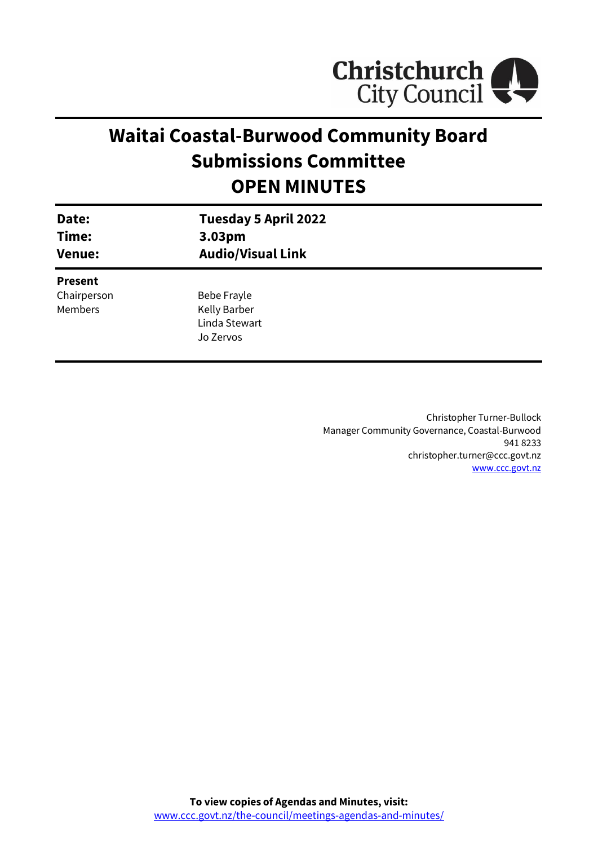

# **Waitai Coastal-Burwood Community Board Submissions Committee OPEN MINUTES**

| Date:<br>Time:<br><b>Venue:</b> | Tuesday 5 April 2022<br>3.03pm<br><b>Audio/Visual Link</b> |
|---------------------------------|------------------------------------------------------------|
| <b>Present</b>                  |                                                            |
| Chairperson                     | Bebe Frayle                                                |
| <b>Members</b>                  | Kelly Barber                                               |
|                                 | Linda Stewart                                              |
|                                 | Jo Zervos                                                  |
|                                 |                                                            |

Christopher Turner-Bullock Manager Community Governance, Coastal-Burwood 941 8233 christopher.turner@ccc.govt.nz [www.ccc.govt.nz](http://www.ccc.govt.nz/)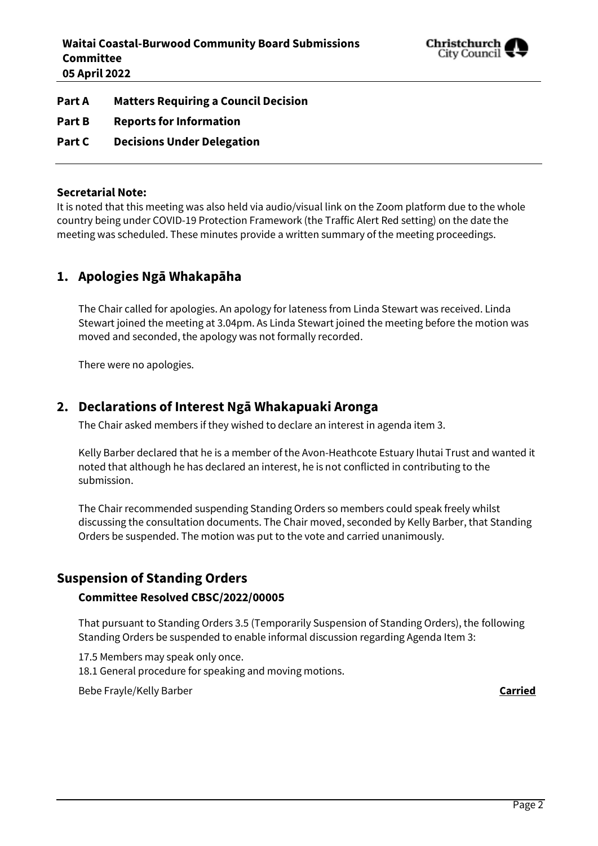

**Part A Matters Requiring a Council Decision**

- **Part B Reports for Information**
- **Part C Decisions Under Delegation**

#### **Secretarial Note:**

It is noted that this meeting was also held via audio/visual link on the Zoom platform due to the whole country being under COVID-19 Protection Framework (the Traffic Alert Red setting) on the date the meeting was scheduled. These minutes provide a written summary of the meeting proceedings.

# **1. Apologies Ngā Whakapāha**

The Chair called for apologies. An apology for lateness from Linda Stewart was received. Linda Stewart joined the meeting at 3.04pm. As Linda Stewart joined the meeting before the motion was moved and seconded, the apology was not formally recorded.

There were no apologies.

## **2. Declarations of Interest Ngā Whakapuaki Aronga**

The Chair asked members if they wished to declare an interest in agenda item 3.

Kelly Barber declared that he is a member of the Avon-Heathcote Estuary Ihutai Trust and wanted it noted that although he has declared an interest, he is not conflicted in contributing to the submission.

The Chair recommended suspending Standing Orders so members could speak freely whilst discussing the consultation documents. The Chair moved, seconded by Kelly Barber, that Standing Orders be suspended. The motion was put to the vote and carried unanimously.

# **Suspension of Standing Orders**

### **Committee Resolved CBSC/2022/00005**

That pursuant to Standing Orders 3.5 (Temporarily Suspension of Standing Orders), the following Standing Orders be suspended to enable informal discussion regarding Agenda Item 3:

17.5 Members may speak only once.

18.1 General procedure for speaking and moving motions.

Bebe Frayle/Kelly Barber **Carried**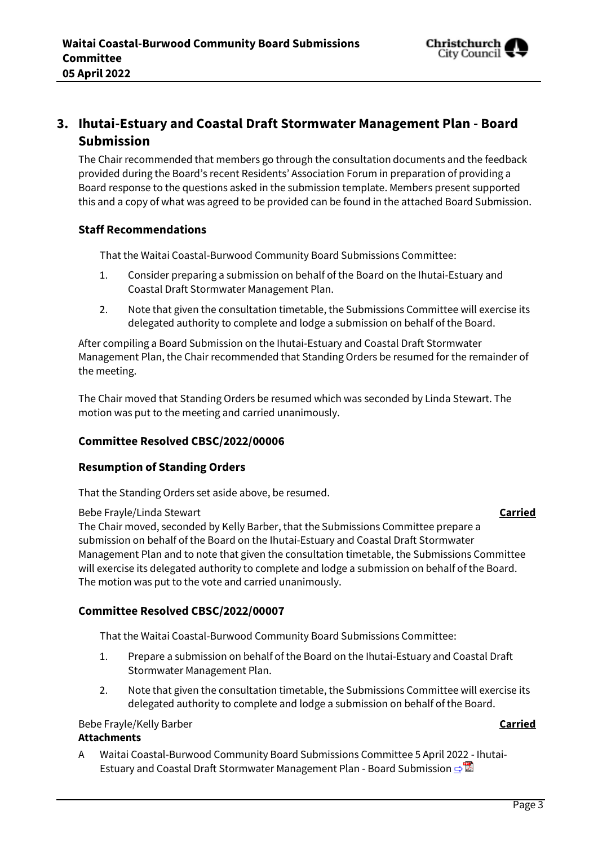

# **3. Ihutai-Estuary and Coastal Draft Stormwater Management Plan - Board Submission**

The Chair recommended that members go through the consultation documents and the feedback provided during the Board's recent Residents' Association Forum in preparation of providing a Board response to the questions asked in the submission template. Members present supported this and a copy of what was agreed to be provided can be found in the attached Board Submission.

### **Staff Recommendations**

That the Waitai Coastal-Burwood Community Board Submissions Committee:

- 1. Consider preparing a submission on behalf of the Board on the Ihutai-Estuary and Coastal Draft Stormwater Management Plan.
- 2. Note that given the consultation timetable, the Submissions Committee will exercise its delegated authority to complete and lodge a submission on behalf of the Board.

After compiling a Board Submission on the Ihutai-Estuary and Coastal Draft Stormwater Management Plan, the Chair recommended that Standing Orders be resumed for the remainder of the meeting.

The Chair moved that Standing Orders be resumed which was seconded by Linda Stewart. The motion was put to the meeting and carried unanimously.

### **Committee Resolved CBSC/2022/00006**

#### **Resumption of Standing Orders**

That the Standing Orders set aside above, be resumed.

#### Bebe Frayle/Linda Stewart **Carried**

The Chair moved, seconded by Kelly Barber, that the Submissions Committee prepare a submission on behalf of the Board on the Ihutai-Estuary and Coastal Draft Stormwater Management Plan and to note that given the consultation timetable, the Submissions Committee will exercise its delegated authority to complete and lodge a submission on behalf of the Board. The motion was put to the vote and carried unanimously.

#### **Committee Resolved CBSC/2022/00007**

That the Waitai Coastal-Burwood Community Board Submissions Committee:

- 1. Prepare a submission on behalf of the Board on the Ihutai-Estuary and Coastal Draft Stormwater Management Plan.
- 2. Note that given the consultation timetable, the Submissions Committee will exercise its delegated authority to complete and lodge a submission on behalf of the Board.

#### Bebe Frayle/Kelly Barber **Carried**

#### **Attachments**

A Waitai Coastal-Burwood Community Board Submissions Committee 5 April 2022 - Ihutai-Estuary and Coastal Draft Stormwater Management Plan - Board Submission **[⇨](../../../RedirectToInvalidFileName.aspx?FileName=CBSC_20220405_MAT_7957.PDF#PAGE=3)</u>**